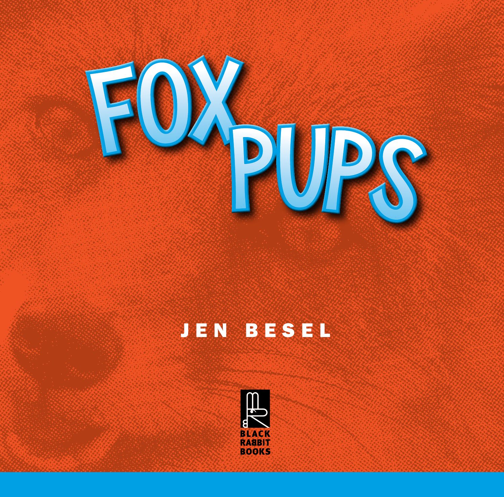

# **JEN BESEL**

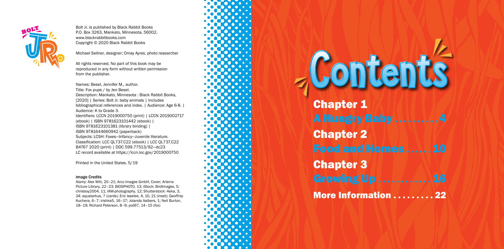Chapter 1 Chapter 2 Chapter 3 More Information . . . . . . . . 22

# Contents



Bolt Jr. is published by Black Rabbit Books P.O. Box 3263, Mankato, Minnesota, 56002. www.blackrabbitbooks.com Copyright © 2020 Black Rabbit Books

Michael Sellner, designer; Omay Ayres, photo researcher

All rights reserved. No part of this book may be reproduced in any form without written permission from the publisher.

Names: Besel, Jennifer M., author. Title: Fox pups / by Jen Besel. Description: Mankato, Minnesota : Black Rabbit Books, [2020] | Series: Bolt Jr. baby animals | Includes bibliographical references and index. | Audience: Age 6-8. | Audience: K to Grade 3. Identifiers: LCCN 2019000750 (print) | LCCN 2019002717 (ebook) | ISBN 9781623101442 (ebook) | ISBN 9781623101381 (library binding) | ISBN 9781644660942 (paperback) Subjects: LCSH: Foxes—Infancy—Juvenile literature. Classification: LCC QL737.C22 (ebook) | LCC QL737.C22 B4767 2020 (print) | DDC 599.77513/92—dc23 LC record available at https://lccn.loc.gov/2019000750

Printed in the United States. 5/19

### Image Credits

Alamy: Alex Witt, 20–21; Arco Images GmbH, Cover; Arterra Picture Library, 22–23; BIOSPHOTO, 13; iStock: BirdImages, 5; chrisboy2004, 11; IAM-photography, 12; Shutterstock: 4eka, 3, 24; aquatarkus, 7 (cards); Eric Isselee, 4, 10, 21 (inset); Geoffrey Kuchera, 6–7; irishka5, 16–17; Jolanda Aalbers, 1; Neil Burton, 18–19; Richard Peterson, 8–9; yod67, 14–15 (fox)

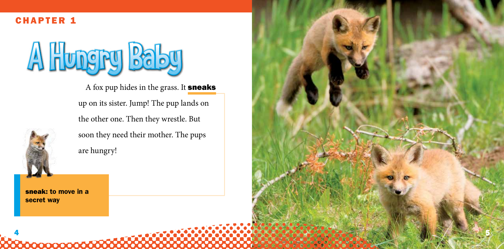sneak: to move in a secret way

000000000000000

A fox pup hides in the grass. It **sneaks** up on its sister. Jump! The pup lands on the other one. Then they wrestle. But soon they need their mother. The pups are hungry!



![](_page_2_Picture_5.jpeg)

## CHAPTER 1

![](_page_2_Picture_1.jpeg)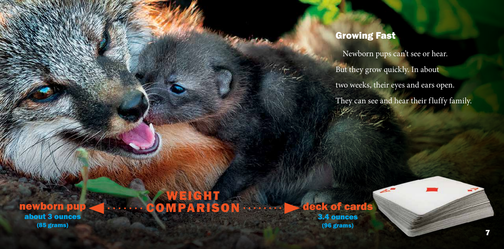about 3 ounces (85 grams)

WEIGHT newborn pup  $\leftarrow \cdots$  COMPARISON

leck of cards

3.4 ounces (96 grams)

## Growing Fast

![](_page_3_Picture_10.jpeg)

Newborn pups can't see or hear. But they grow quickly. In about two weeks, their eyes and ears open. They can see and hear their fluffy family.